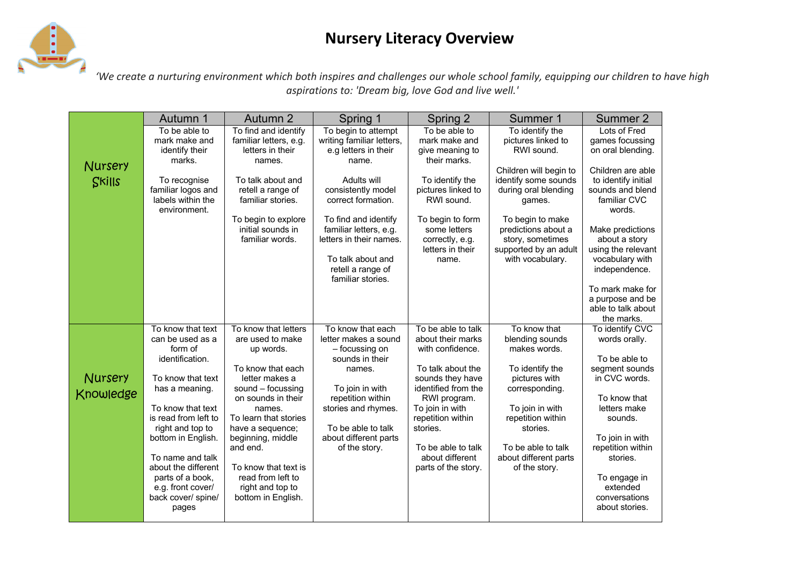## **Nursery Literacy Overview**



*'We create a nurturing environment which both inspires and challenges our whole school family, equipping our children to have high aspirations to: 'Dream big, love God and live well.'*

|                      | Autumn 1                                                                                                                   | Autumn 2                                                                                                                                                     | Spring 1                                                                                                                                 | Spring 2                                                                                                                         | Summer 1                                                                                                 | Summer 2                                                                                      |
|----------------------|----------------------------------------------------------------------------------------------------------------------------|--------------------------------------------------------------------------------------------------------------------------------------------------------------|------------------------------------------------------------------------------------------------------------------------------------------|----------------------------------------------------------------------------------------------------------------------------------|----------------------------------------------------------------------------------------------------------|-----------------------------------------------------------------------------------------------|
|                      | To be able to<br>mark make and<br>identify their<br>marks.                                                                 | To find and identify<br>familiar letters, e.g.<br>letters in their<br>names.                                                                                 | To begin to attempt<br>writing familiar letters,<br>e.g letters in their<br>name.                                                        | To be able to<br>mark make and<br>give meaning to<br>their marks.                                                                | To identify the<br>pictures linked to<br>RWI sound.                                                      | Lots of Fred<br>games focussing<br>on oral blending.                                          |
| Nursery<br>Skills    | To recognise<br>familiar logos and<br>labels within the<br>environment.                                                    | To talk about and<br>retell a range of<br>familiar stories.                                                                                                  | Adults will<br>consistently model<br>correct formation.                                                                                  | To identify the<br>pictures linked to<br>RWI sound.                                                                              | Children will begin to<br>identify some sounds<br>during oral blending<br>games.                         | Children are able<br>to identify initial<br>sounds and blend<br>familiar CVC<br>words.        |
|                      |                                                                                                                            | To begin to explore<br>initial sounds in<br>familiar words.                                                                                                  | To find and identify<br>familiar letters, e.g.<br>letters in their names.<br>To talk about and<br>retell a range of<br>familiar stories. | To begin to form<br>some letters<br>correctly, e.g.<br>letters in their<br>name.                                                 | To begin to make<br>predictions about a<br>story, sometimes<br>supported by an adult<br>with vocabulary. | Make predictions<br>about a story<br>using the relevant<br>vocabulary with<br>independence.   |
|                      |                                                                                                                            |                                                                                                                                                              |                                                                                                                                          |                                                                                                                                  |                                                                                                          | To mark make for<br>a purpose and be<br>able to talk about<br>the marks.                      |
|                      | To know that text<br>can be used as a<br>form of<br>identification.                                                        | To know that letters<br>are used to make<br>up words.                                                                                                        | To know that each<br>letter makes a sound<br>- focussing on<br>sounds in their                                                           | To be able to talk<br>about their marks<br>with confidence.                                                                      | To know that<br>blending sounds<br>makes words.                                                          | To identify CVC<br>words orally.<br>To be able to                                             |
| Nursery<br>Knowledge | To know that text<br>has a meaning.<br>To know that text<br>is read from left to<br>right and top to<br>bottom in English. | To know that each<br>letter makes a<br>sound $-$ focussing<br>on sounds in their<br>names.<br>To learn that stories<br>have a sequence;<br>beginning, middle | names.<br>To join in with<br>repetition within<br>stories and rhymes.<br>To be able to talk<br>about different parts                     | To talk about the<br>sounds they have<br>identified from the<br>RWI program.<br>To join in with<br>repetition within<br>stories. | To identify the<br>pictures with<br>corresponding.<br>To join in with<br>repetition within<br>stories.   | segment sounds<br>in CVC words.<br>To know that<br>letters make<br>sounds.<br>To join in with |
|                      | To name and talk<br>about the different<br>parts of a book,<br>e.g. front cover/<br>back cover/ spine/<br>pages            | and end.<br>To know that text is<br>read from left to<br>right and top to<br>bottom in English.                                                              | of the story.                                                                                                                            | To be able to talk<br>about different<br>parts of the story.                                                                     | To be able to talk<br>about different parts<br>of the story.                                             | repetition within<br>stories.<br>To engage in<br>extended<br>conversations<br>about stories.  |